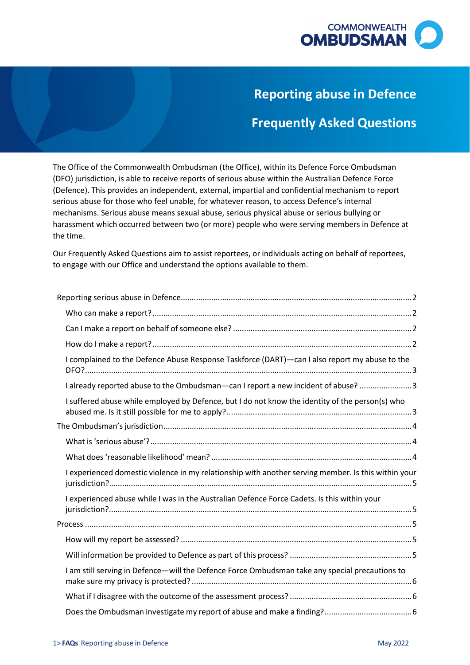

## **Reporting abuse in Defence**

# **Frequently Asked Questions**

 (Defence). This provides an independent, external, impartial and confidential mechanism to report harassment which occurred between two (or more) people who were serving members in Defence at The Office of the Commonwealth Ombudsman (the Office), within its Defence Force Ombudsman (DFO) jurisdiction, is able to receive reports of serious abuse within the Australian Defence Force serious abuse for those who feel unable, for whatever reason, to access Defence's internal mechanisms. Serious abuse means sexual abuse, serious physical abuse or serious bullying or the time.

 Our Frequently Asked Questions aim to assist reportees, or individuals acting on behalf of reportees, to engage with our Office and understand the options available to them.

|  | I complained to the Defence Abuse Response Taskforce (DART)—can I also report my abuse to the       |  |
|--|-----------------------------------------------------------------------------------------------------|--|
|  | I already reported abuse to the Ombudsman-can I report a new incident of abuse? 3                   |  |
|  | I suffered abuse while employed by Defence, but I do not know the identity of the person(s) who     |  |
|  |                                                                                                     |  |
|  |                                                                                                     |  |
|  |                                                                                                     |  |
|  | I experienced domestic violence in my relationship with another serving member. Is this within your |  |
|  | I experienced abuse while I was in the Australian Defence Force Cadets. Is this within your         |  |
|  |                                                                                                     |  |
|  |                                                                                                     |  |
|  |                                                                                                     |  |
|  | I am still serving in Defence—will the Defence Force Ombudsman take any special precautions to      |  |
|  |                                                                                                     |  |
|  |                                                                                                     |  |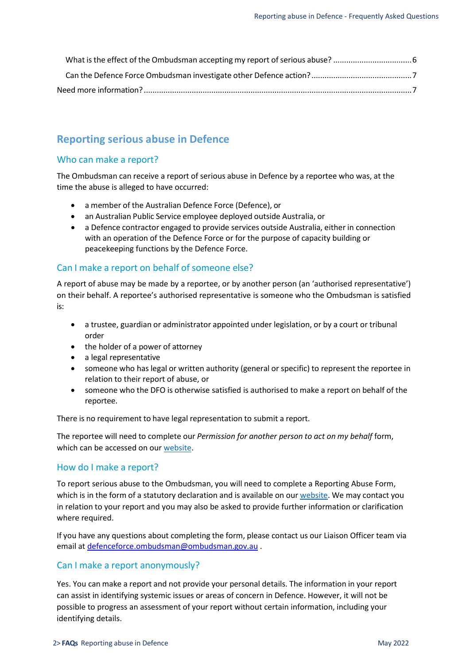## <span id="page-1-0"></span> **Reporting serious abuse in Defence**

## <span id="page-1-1"></span>Who can make a report?

 The Ombudsman can receive a report of serious abuse in Defence by a reportee who was, at the time the abuse is alleged to have occurred:

- a member of the Australian Defence Force (Defence), or
- an Australian Public Service employee deployed outside Australia, or
- • a Defence contractor engaged to provide services outside Australia, either in connection with an operation of the Defence Force or for the purpose of capacity building or peacekeeping functions by the Defence Force.

#### <span id="page-1-2"></span>Can I make a report on behalf of someone else?

 A report of abuse may be made by a reportee, or by another person (an 'authorised representative') on their behalf. A reportee's authorised representative is someone who the Ombudsman is satisfied is:

- • a trustee, guardian or administrator appointed under legislation, or by a court or tribunal order
- the holder of a power of attorney
- a legal representative
- • someone who has legal or written authority (general or specific) to represent the reportee in relation to their report of abuse, or
- • someone who the DFO is otherwise satisfied is authorised to make a report on behalf of the reportee.

There is no requirement to have legal representation to submit a report.

 The reportee will need to complete our *Permission for another person to act on my behalf* form, which can be accessed on our [website.](http://www.ombudsman.gov.au/__data/assets/pdf_file/0018/24408/obo_form.pdf)

#### <span id="page-1-3"></span>How do I make a report?

which is in the form of a statutory declaration and is available on our <u>website</u>. We may contact you To report serious abuse to the Ombudsman, you will need to complete a Reporting Abuse Form, in relation to your report and you may also be asked to provide further information or clarification where required.

 If you have any questions about completing the form, please contact us our Liaison Officer team via email at *defenceforce.ombudsman@ombudsman.gov.au* .

#### Can I make a report anonymously?

 Yes. You can make a report and not provide your personal details. The information in your report can assist in identifying systemic issues or areas of concern in Defence. However, it will not be possible to progress an assessment of your report without certain information, including your identifying details.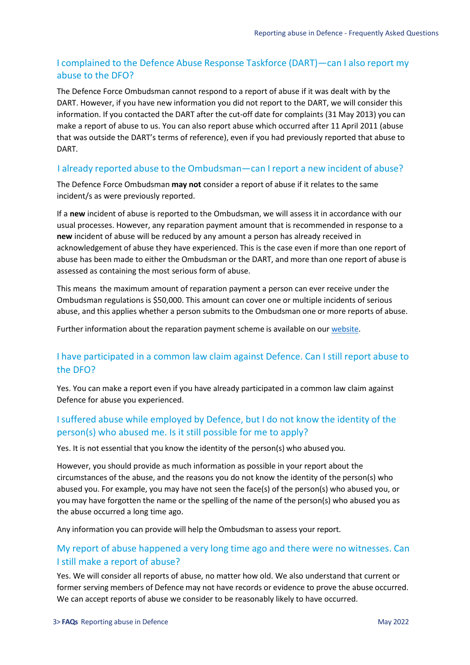### <span id="page-2-0"></span> I complained to the Defence Abuse Response Taskforce (DART)—can I also report my abuse to the DFO?

 The Defence Force Ombudsman cannot respond to a report of abuse if it was dealt with by the DART. However, if you have new information you did not report to the DART, we will consider this information. If you contacted the DART after the cut-off date for complaints (31 May 2013) you can make a report of abuse to us. You can also report abuse which occurred after 11 April 2011 (abuse that was outside the DART's terms of reference), even if you had previously reported that abuse to DART.

#### <span id="page-2-1"></span>I already reported abuse to the Ombudsman—can I report a new incident of abuse?

 The Defence Force Ombudsman **may not** consider a report of abuse if it relates to the same incident/s as were previously reported.

 If a **new** incident of abuse is reported to the Ombudsman, we will assess it in accordance with our acknowledgement of abuse they have experienced. This is the case even if more than one report of abuse has been made to either the Ombudsman or the DART, and more than one report of abuse is usual processes. However, any reparation payment amount that is recommended in response to a **new** incident of abuse will be reduced by any amount a person has already received in assessed as containing the most serious form of abuse.

 This means the maximum amount of reparation payment a person can ever receive under the Ombudsman regulations is \$50,000. This amount can cover one or multiple incidents of serious abuse, and this applies whether a person submits to the Ombudsman one or more reports of abuse.

Further information about the reparation payment scheme is available on our [website.](https://www.ombudsman.gov.au/How-we-can-help/australian-defence-force/reporting-abuse-in-defence)

### I have participated in a common law claim against Defence. Can I still report abuse to the DFO?

 Yes. You can make a report even if you have already participated in a common law claim against Defence for abuse you experienced.

## <span id="page-2-2"></span> I suffered abuse while employed by Defence, but I do not know the identity of the person(s) who abused me. Is it still possible for me to apply?

Yes. It is not essential that you know the identity of the person(s) who abused you.

 However, you should provide as much information as possible in your report about the circumstances of the abuse, and the reasons you do not know the identity of the person(s) who abused you. For example, you may have not seen the face(s) of the person(s) who abused you, or you may have forgotten the name or the spelling of the name of the person(s) who abused you as the abuse occurred a long time ago.

Any information you can provide will help the Ombudsman to assess your report.

#### My report of abuse happened a very long time ago and there were no witnesses. Can I still make a report of abuse?

 former serving members of Defence may not have records or evidence to prove the abuse occurred. Yes. We will consider all reports of abuse, no matter how old. We also understand that current or We can accept reports of abuse we consider to be reasonably likely to have occurred.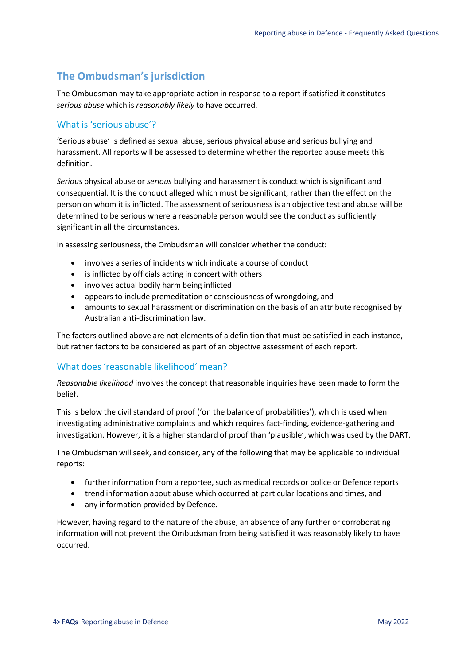## <span id="page-3-0"></span>**The Ombudsman's jurisdiction**

 The Ombudsman may take appropriate action in response to a report if satisfied it constitutes  *serious abuse* which is *reasonably likely* to have occurred.

## <span id="page-3-1"></span>What is 'serious abuse'?

 harassment. All reports will be assessed to determine whether the reported abuse meets this 'Serious abuse' is defined as sexual abuse, serious physical abuse and serious bullying and definition.

 *Serious* physical abuse or *serious* bullying and harassment is conduct which is significant and consequential. It is the conduct alleged which must be significant, rather than the effect on the person on whom it is inflicted. The assessment of seriousness is an objective test and abuse will be determined to be serious where a reasonable person would see the conduct as sufficiently significant in all the circumstances.

In assessing seriousness, the Ombudsman will consider whether the conduct:

- involves a series of incidents which indicate a course of conduct
- is inflicted by officials acting in concert with others
- involves actual bodily harm being inflicted
- appears to include premeditation or consciousness of wrongdoing, and
- • amounts to sexual harassment or discrimination on the basis of an attribute recognised by Australian anti-discrimination law.

 The factors outlined above are not elements of a definition that must be satisfied in each instance, but rather factors to be considered as part of an objective assessment of each report.

## <span id="page-3-2"></span>What does 'reasonable likelihood' mean?

 *Reasonable likelihood* involves the concept that reasonable inquiries have been made to form the belief.

 investigation. However, it is a higher standard of proof than 'plausible', which was used by the DART. This is below the civil standard of proof ('on the balance of probabilities'), which is used when investigating administrative complaints and which requires fact-finding, evidence-gathering and

 The Ombudsman will seek, and consider, any of the following that may be applicable to individual reports:

- further information from a reportee, such as medical records or police or Defence reports
- trend information about abuse which occurred at particular locations and times, and
- any information provided by Defence.

 information will not prevent the Ombudsman from being satisfied it was reasonably likely to have However, having regard to the nature of the abuse, an absence of any further or corroborating occurred.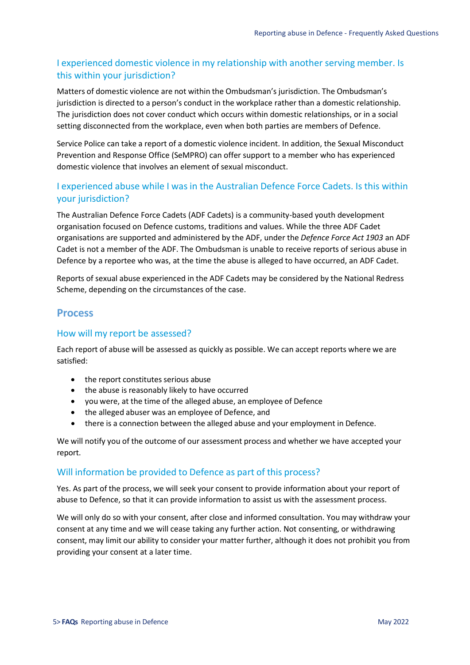#### <span id="page-4-0"></span> I experienced domestic violence in my relationship with another serving member. Is this within your jurisdiction?

 Matters of domestic violence are not within the Ombudsman's jurisdiction. The Ombudsman's jurisdiction is directed to a person's conduct in the workplace rather than a domestic relationship. The jurisdiction does not cover conduct which occurs within domestic relationships, or in a social setting disconnected from the workplace, even when both parties are members of Defence.

 Service Police can take a report of a domestic violence incident. In addition, the Sexual Misconduct Prevention and Response Office (SeMPRO) can offer support to a member who has experienced domestic violence that involves an element of sexual misconduct.

#### <span id="page-4-1"></span> I experienced abuse while I was in the Australian Defence Force Cadets. Is this within your jurisdiction?

 organisation focused on Defence customs, traditions and values. While the three ADF Cadet organisations are supported and administered by the ADF, under the *Defence Force Act 1903* an ADF The Australian Defence Force Cadets (ADF Cadets) is a community-based youth development Cadet is not a member of the ADF. The Ombudsman is unable to receive reports of serious abuse in Defence by a reportee who was, at the time the abuse is alleged to have occurred, an ADF Cadet.

 Reports of sexual abuse experienced in the ADF Cadets may be considered by the National Redress Scheme, depending on the circumstances of the case.

### <span id="page-4-2"></span>**Process**

#### <span id="page-4-3"></span>How will my report be assessed?

 Each report of abuse will be assessed as quickly as possible. We can accept reports where we are satisfied:

- the report constitutes serious abuse
- the abuse is reasonably likely to have occurred
- you were, at the time of the alleged abuse, an employee of Defence
- the alleged abuser was an employee of Defence, and
- there is a connection between the alleged abuse and your employment in Defence.

 We will notify you of the outcome of our assessment process and whether we have accepted your report.

#### <span id="page-4-4"></span>Will information be provided to Defence as part of this process?

 Yes. As part of the process, we will seek your consent to provide information about your report of abuse to Defence, so that it can provide information to assist us with the assessment process.

 We will only do so with your consent, after close and informed consultation. You may withdraw your consent, may limit our ability to consider your matter further, although it does not prohibit you from consent at any time and we will cease taking any further action. Not consenting, or withdrawing providing your consent at a later time.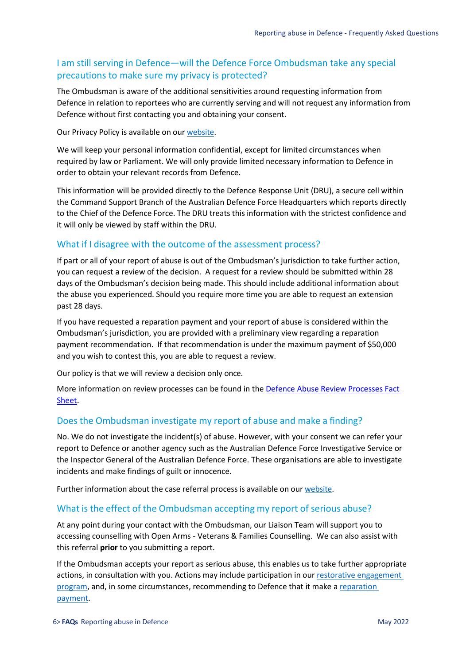#### <span id="page-5-0"></span> I am still serving in Defence—will the Defence Force Ombudsman take any special precautions to make sure my privacy is protected?

 Defence in relation to reportees who are currently serving and will not request any information from The Ombudsman is aware of the additional sensitivities around requesting information from Defence without first contacting you and obtaining your consent.

Our Privacy Policy is available on our website.

 required by law or Parliament. We will only provide limited necessary information to Defence in order to obtain your relevant records from Defence. We will keep your personal information confidential, except for limited circumstances when

 This information will be provided directly to the Defence Response Unit (DRU), a secure cell within to the Chief of the Defence Force. The DRU treats this information with the strictest confidence and the Command Support Branch of the Australian Defence Force Headquarters which reports directly it will only be viewed by staff within the DRU.

#### <span id="page-5-1"></span>What if I disagree with the outcome of the assessment process?

 If part or all of your report of abuse is out of the Ombudsman's jurisdiction to take further action, you can request a review of the decision. A request for a review should be submitted within 28 days of the Ombudsman's decision being made. This should include additional information about the abuse you experienced. Should you require more time you are able to request an extension past 28 days.

 If you have requested a reparation payment and your report of abuse is considered within the payment recommendation. If that recommendation is under the maximum payment of \$50,000 and you wish to contest this, you are able to request a review. Ombudsman's jurisdiction, you are provided with a preliminary view regarding a reparation

Our policy is that we will review a decision only once.

More information on review processes can be found in the Defence Abuse Review Processes Fact [Sheet.](https://www.ombudsman.gov.au/__data/assets/pdf_file/0028/102889/Review-Processes-Factsheet-March-2022.pdf)

#### <span id="page-5-2"></span>Does the Ombudsman investigate my report of abuse and make a finding?

 No. We do not investigate the incident(s) of abuse. However, with your consent we can refer your report to Defence or another agency such as the Australian Defence Force Investigative Service or the Inspector General of the Australian Defence Force. These organisations are able to investigate incidents and make findings of guilt or innocence.

Further information about the case referral process is available on our [website.](https://www.ombudsman.gov.au/How-we-can-help/australian-defence-force/reporting-abuse-in-defence)

#### <span id="page-5-3"></span>What is the effect of the Ombudsman accepting my report of serious abuse?

 accessing counselling with Open Arms - Veterans & Families Counselling. We can also assist with At any point during your contact with the Ombudsman, our Liaison Team will support you to this referral **prior** to you submitting a report.

 If the Ombudsman accepts your report as serious abuse, this enables us to take further appropriate actions, in consultation with you. Actions may include participation in our restorative engagement payment. [program, a](http://www.ombudsman.gov.au/__data/assets/pdf_file/0021/46920/RE-factsheet-updated.pdf)nd, in some circumstances, recommending to Defence that it make [a reparation](http://www.ombudsman.gov.au/making-a-complaint/australian-defence-force/reporting-abuse-in-defence)  [payment.](http://www.ombudsman.gov.au/making-a-complaint/australian-defence-force/reporting-abuse-in-defence)<br>**6> <b>FAQs** Reporting abuse in Defence May 2022